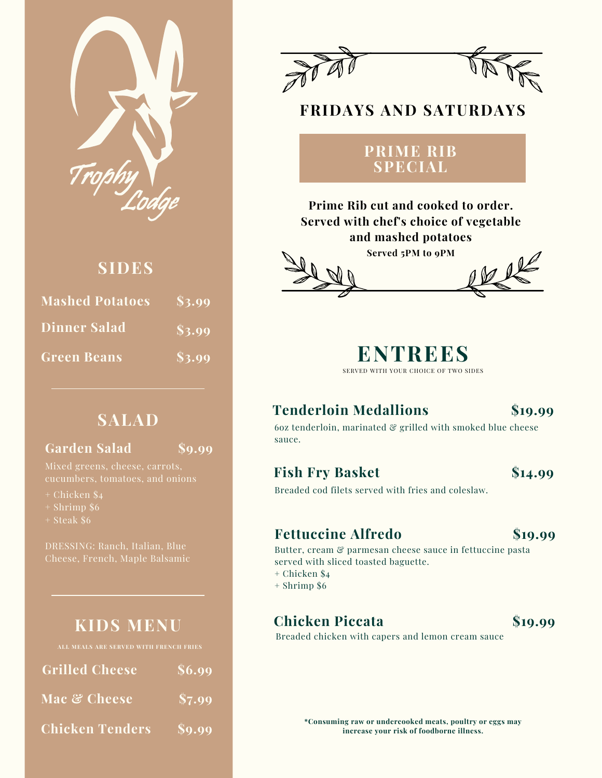

# **SIDES**

| <b>Mashed Potatoes</b> | \$3.99 |
|------------------------|--------|
| <b>Dinner Salad</b>    | \$3.99 |
| <b>Green Beans</b>     | \$3.99 |

# **SALAD**

### **Garden Salad**

**\$9.99**

Mixed greens, cheese, carrots,

- + Chicken \$4
- + Shrimp \$6
- + Steak \$6

DRESSING: Ranch, Italian, Blue

# **KIDS MENU**

| <b>Grilled Cheese</b>  | $\sqrt{\$6.99}$ |
|------------------------|-----------------|
| Mac & Cheese           | \$7.99          |
| <b>Chicken Tenders</b> | \$9.99          |



# **FRIDAYS AND SATURDAYS**

### **PRIME RIB SPECIAL**

**Prime Rib cut and cooked to order. Served with chef's choice of vegetable and mashed potatoes**





# **Tenderloin Medallions**

### **\$19.99**

60z tenderloin, marinated  $\mathcal{C}$  grilled with smoked blue cheese sauce.

### **Fish Fry Basket**

**\$14.99**

Breaded cod filets served with fries and coleslaw.

### **Fettuccine Alfredo**

**\$19.99**

Butter, cream & parmesan cheese sauce in fettuccine pasta served with sliced toasted baguette.

- + Chicken \$4
- + Shrimp \$6

# **Chicken Piccata**

**\$19.99**

Breaded chicken with capers and lemon cream sauce

**\*Consuming raw or undercooked meats, poultry or eggs may increase your risk of foodborne illness.**